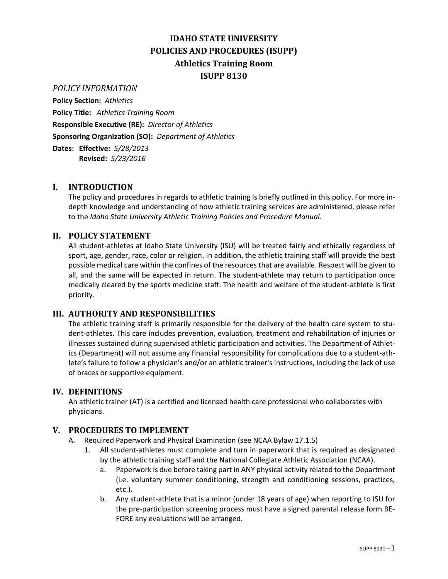# **IDAHO STATE UNIVERSITY POLICIES AND PROCEDURES (ISUPP) Athletics Training Room ISUPP 8130**

*POLICY INFORMATION*

**Policy Section:** *Athletics* **Policy Title:** *Athletics Training Room* **Responsible Executive (RE):** *Director of Athletics* **Sponsoring Organization (SO):** *Department of Athletics* **Dates: Effective:** *5/28/2013*

**Revised:** *5/23/2016*

# **I. INTRODUCTION**

The policy and procedures in regards to athletic training is briefly outlined in this policy. For more indepth knowledge and understanding of how athletic training services are administered, please refer to the *Idaho State University Athletic Training Policies and Procedure Manual*.

# **II. POLICY STATEMENT**

All student-athletes at Idaho State University (ISU) will be treated fairly and ethically regardless of sport, age, gender, race, color or religion. In addition, the athletic training staff will provide the best possible medical care within the confines of the resources that are available. Respect will be given to all, and the same will be expected in return. The student-athlete may return to participation once medically cleared by the sports medicine staff. The health and welfare of the student-athlete is first priority.

### **III. AUTHORITY AND RESPONSIBILITIES**

The athletic training staff is primarily responsible for the delivery of the health care system to student-athletes. This care includes prevention, evaluation, treatment and rehabilitation of injuries or illnesses sustained during supervised athletic participation and activities. The Department of Athletics (Department) will not assume any financial responsibility for complications due to a student-athlete's failure to follow a physician's and/or an athletic trainer's instructions, including the lack of use of braces or supportive equipment.

### **IV. DEFINITIONS**

An athletic trainer (AT) is a certified and licensed health care professional who collaborates with physicians.

### **V. PROCEDURES TO IMPLEMENT**

- A. Required Paperwork and Physical Examination (see NCAA Bylaw 17.1.5)
	- 1. All student-athletes must complete and turn in paperwork that is required as designated by the athletic training staff and the National Collegiate Athletic Association (NCAA).
		- a. Paperwork is due before taking part in ANY physical activity related to the Department (i.e. voluntary summer conditioning, strength and conditioning sessions, practices, etc.).
		- b. Any student-athlete that is a minor (under 18 years of age) when reporting to ISU for the pre-participation screening process must have a signed parental release form BE-FORE any evaluations will be arranged.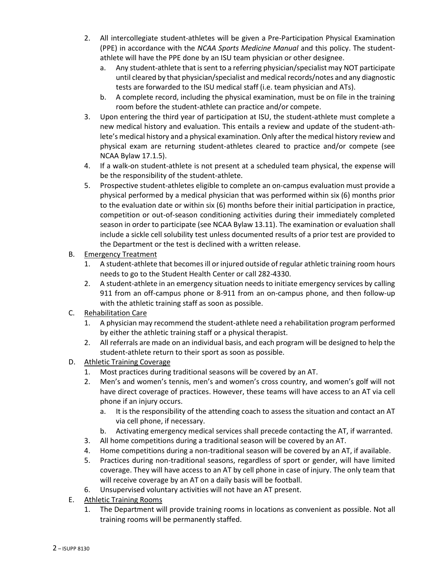- 2. All intercollegiate student-athletes will be given a Pre-Participation Physical Examination (PPE) in accordance with the *NCAA Sports Medicine Manual* and this policy. The studentathlete will have the PPE done by an ISU team physician or other designee.
	- a. Any student-athlete that is sent to a referring physician/specialist may NOT participate until cleared by that physician/specialist and medical records/notes and any diagnostic tests are forwarded to the ISU medical staff (i.e. team physician and ATs).
	- b. A complete record, including the physical examination, must be on file in the training room before the student-athlete can practice and/or compete.
- 3. Upon entering the third year of participation at ISU, the student-athlete must complete a new medical history and evaluation. This entails a review and update of the student-athlete's medical history and a physical examination. Only after the medical history review and physical exam are returning student-athletes cleared to practice and/or compete (see NCAA Bylaw 17.1.5).
- 4. If a walk-on student-athlete is not present at a scheduled team physical, the expense will be the responsibility of the student-athlete.
- 5. Prospective student-athletes eligible to complete an on-campus evaluation must provide a physical performed by a medical physician that was performed within six (6) months prior to the evaluation date or within six (6) months before their initial participation in practice, competition or out-of-season conditioning activities during their immediately completed season in order to participate (see NCAA Bylaw 13.11). The examination or evaluation shall include a sickle cell solubility test unless documented results of a prior test are provided to the Department or the test is declined with a written release.
- B. Emergency Treatment
	- 1. A student-athlete that becomes ill or injured outside of regular athletic training room hours needs to go to the Student Health Center or call 282-4330.
	- 2. A student-athlete in an emergency situation needs to initiate emergency services by calling 911 from an off-campus phone or 8-911 from an on-campus phone, and then follow-up with the athletic training staff as soon as possible.
- C. Rehabilitation Care
	- 1. A physician may recommend the student-athlete need a rehabilitation program performed by either the athletic training staff or a physical therapist.
	- 2. All referrals are made on an individual basis, and each program will be designed to help the student-athlete return to their sport as soon as possible.
- D. Athletic Training Coverage
	- 1. Most practices during traditional seasons will be covered by an AT.
	- 2. Men's and women's tennis, men's and women's cross country, and women's golf will not have direct coverage of practices. However, these teams will have access to an AT via cell phone if an injury occurs.
		- a. It is the responsibility of the attending coach to assess the situation and contact an AT via cell phone, if necessary.
		- b. Activating emergency medical services shall precede contacting the AT, if warranted.
	- 3. All home competitions during a traditional season will be covered by an AT.
	- 4. Home competitions during a non-traditional season will be covered by an AT, if available.
	- 5. Practices during non-traditional seasons, regardless of sport or gender, will have limited coverage. They will have access to an AT by cell phone in case of injury. The only team that will receive coverage by an AT on a daily basis will be football.
	- 6. Unsupervised voluntary activities will not have an AT present.
- E. Athletic Training Rooms
	- 1. The Department will provide training rooms in locations as convenient as possible. Not all training rooms will be permanently staffed.